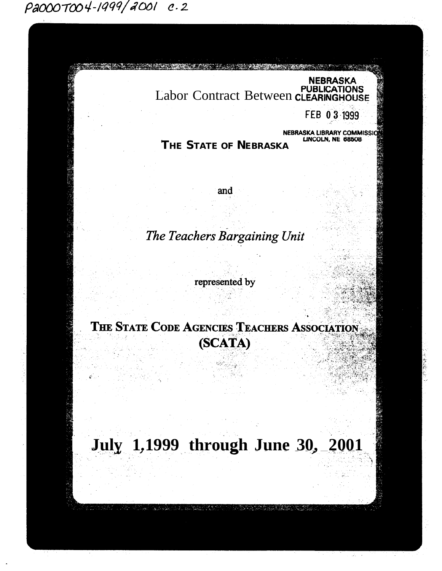P2000T004-1999/2001 c.2

NEBRASKA<br>PUBLICATIONS<br>Labor Contract Between CLEARINGHOUSE

FEB 03 1999

**THE STATE OF NEBRASKA LIBRARY COMMISS**<br>THE STATE OF NEBRASKA

and

The Teachers Bargaining Unit

represented by

THE STATE CODE AGENCIES TEACHERS ASSOCIATION (SCATA)

**July 1.1999 through June 30, 2001**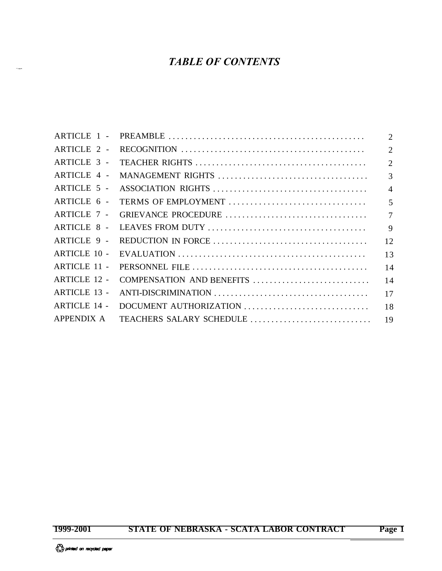# *TABLE OF CONTENTS*

| $\overline{2}$                  |
|---------------------------------|
| $\overline{2}$                  |
| $\overline{2}$                  |
| $\overline{3}$                  |
| $\overline{4}$                  |
| 5                               |
| $\overline{7}$                  |
| 9                               |
| 12                              |
| 13                              |
| 14                              |
| COMPENSATION AND BENEFITS<br>14 |
| 17                              |
| 18                              |
| 19                              |
|                                 |

i<br>Santa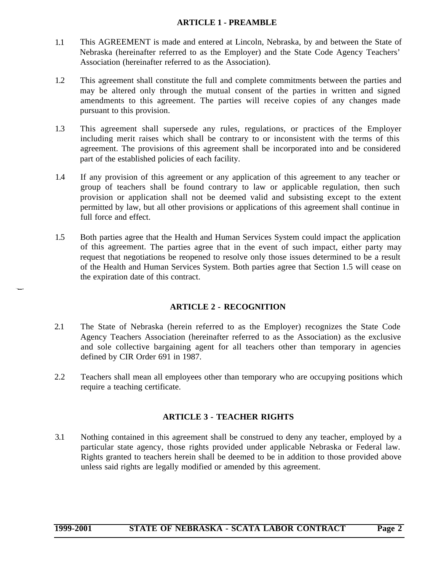#### **ARTICLE 1 - PREAMBLE**

- <span id="page-2-0"></span>1.1 This AGREEMENT is made and entered at Lincoln, Nebraska, by and between the State of Nebraska (hereinafter referred to as the Employer) and the State Code Agency Teachers' Association (hereinafter referred to as the Association).
- 1.2 This agreement shall constitute the full and complete commitments between the parties and may be altered only through the mutual consent of the parties in written and signed amendments to this agreement. The parties will receive copies of any changes made pursuant to this provision.
- 1.3 This agreement shall supersede any rules, regulations, or practices of the Employer including merit raises which shall be contrary to or inconsistent with the terms of this agreement. The provisions of this agreement shall be incorporated into and be considered part of the established policies of each facility.
- 1.4 If any provision of this agreement or any application of this agreement to any teacher or group of teachers shall be found contrary to law or applicable regulation, then such provision or application shall not be deemed valid and subsisting except to the extent permitted by law, but all other provisions or applications of this agreement shall continue in full force and effect.
- <span id="page-2-1"></span>1.5 Both parties agree that the Health and Human Services System could impact the application of this agreement. The parties agree that in the event of such impact, either party may request that negotiations be reopened to resolve only those issues determined to be a result of the Health and Human Services System. Both parties agree that Section 1.5 will cease on the expiration date of this contract.

# **ARTICLE 2 - RECOGNITION**

- <span id="page-2-2"></span>2.1 The State of Nebraska (herein referred to as the Employer) recognizes the State Code Agency Teachers Association (hereinafter referred to as the Association) as the exclusive and sole collective bargaining agent for all teachers other than temporary in agencies defined by CIR Order 691 in 1987.
- 2.2 Teachers shall mean all employees other than temporary who are occupying positions which require a teaching certificate.

# **ARTICLE 3 - TEACHER RIGHTS**

3.1 Nothing contained in this agreement shall be construed to deny any teacher, employed by a particular state agency, those rights provided under applicable Nebraska or Federal law. Rights granted to teachers herein shall be deemed to be in addition to those provided above unless said rights are legally modified or amended by this agreement.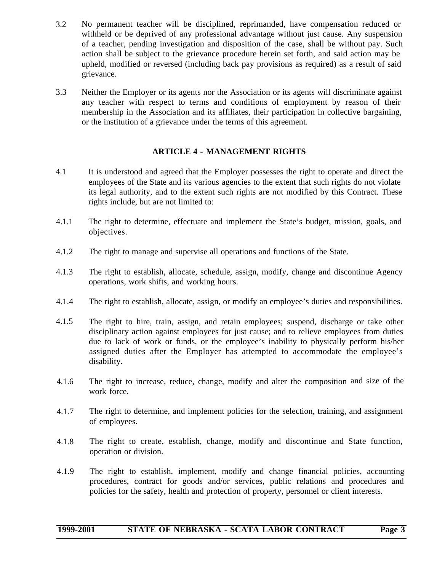- 3.2 No permanent teacher will be disciplined, reprimanded, have compensation reduced or withheld or be deprived of any professional advantage without just cause. Any suspension of a teacher, pending investigation and disposition of the case, shall be without pay. Such action shall be subject to the grievance procedure herein set forth, and said action may be upheld, modified or reversed (including back pay provisions as required) as a result of said grievance.
- <span id="page-3-0"></span>3.3 Neither the Employer or its agents nor the Association or its agents will discriminate against any teacher with respect to terms and conditions of employment by reason of their membership in the Association and its affiliates, their participation in collective bargaining, or the institution of a grievance under the terms of this agreement.

# **ARTICLE 4 - MANAGEMENT RIGHTS**

- 4.1 It is understood and agreed that the Employer possesses the right to operate and direct the employees of the State and its various agencies to the extent that such rights do not violate its legal authority, and to the extent such rights are not modified by this Contract. These rights include, but are not limited to:
- 4.1.1 The right to determine, effectuate and implement the State's budget, mission, goals, and objectives.
- 4.1.2 The right to manage and supervise all operations and functions of the State.
- 4.1.3 The right to establish, allocate, schedule, assign, modify, change and discontinue Agency operations, work shifts, and working hours.
- 4.1.4 The right to establish, allocate, assign, or modify an employee's duties and responsibilities.
- 4.1.5 The right to hire, train, assign, and retain employees; suspend, discharge or take other disciplinary action against employees for just cause; and to relieve employees from duties due to lack of work or funds, or the employee's inability to physically perform his/her assigned duties after the Employer has attempted to accommodate the employee's disability.
- 4.1.6 The right to increase, reduce, change, modify and alter the composition and size of the work force.
- 4.1.7 The right to determine, and implement policies for the selection, training, and assignment of employees.
- 4.1.8 The right to create, establish, change, modify and discontinue and State function, operation or division.
- 4.1.9 The right to establish, implement, modify and change financial policies, accounting procedures, contract for goods and/or services, public relations and procedures and policies for the safety, health and protection of property, personnel or client interests.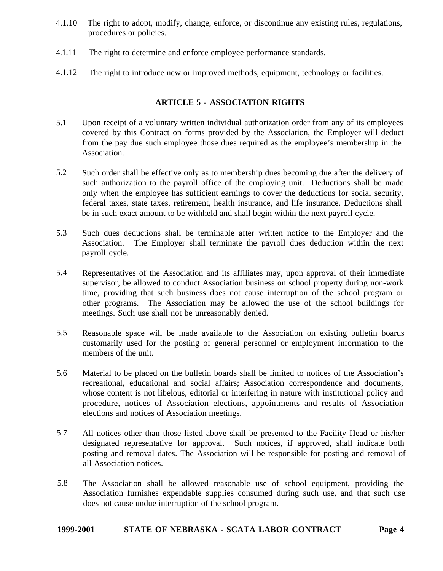- <span id="page-4-0"></span>4.1.10 The right to adopt, modify, change, enforce, or discontinue any existing rules, regulations, procedures or policies.
- 4.1.11 The right to determine and enforce employee performance standards.
- 4.1.12 The right to introduce new or improved methods, equipment, technology or facilities.

# **ARTICLE 5 - ASSOCIATION RIGHTS**

- 5.1 Upon receipt of a voluntary written individual authorization order from any of its employees covered by this Contract on forms provided by the Association, the Employer will deduct from the pay due such employee those dues required as the employee's membership in the Association.
- 5.2 Such order shall be effective only as to membership dues becoming due after the delivery of such authorization to the payroll office of the employing unit. Deductions shall be made only when the employee has sufficient earnings to cover the deductions for social security, federal taxes, state taxes, retirement, health insurance, and life insurance. Deductions shall be in such exact amount to be withheld and shall begin within the next payroll cycle.
- 5.3 Such dues deductions shall be terminable after written notice to the Employer and the Association. The Employer shall terminate the payroll dues deduction within the next payroll cycle.
- 5.4 Representatives of the Association and its affiliates may, upon approval of their immediate supervisor, be allowed to conduct Association business on school property during non-work time, providing that such business does not cause interruption of the school program or other programs. The Association may be allowed the use of the school buildings for meetings. Such use shall not be unreasonably denied.
- 5.5 Reasonable space will be made available to the Association on existing bulletin boards customarily used for the posting of general personnel or employment information to the members of the unit.
- 5.6 Material to be placed on the bulletin boards shall be limited to notices of the Association's recreational, educational and social affairs; Association correspondence and documents, whose content is not libelous, editorial or interfering in nature with institutional policy and procedure, notices of Association elections, appointments and results of Association elections and notices of Association meetings.
- 5.7 All notices other than those listed above shall be presented to the Facility Head or his/her designated representative for approval. Such notices, if approved, shall indicate both posting and removal dates. The Association will be responsible for posting and removal of all Association notices.
- 5.8 The Association shall be allowed reasonable use of school equipment, providing the Association furnishes expendable supplies consumed during such use, and that such use does not cause undue interruption of the school program.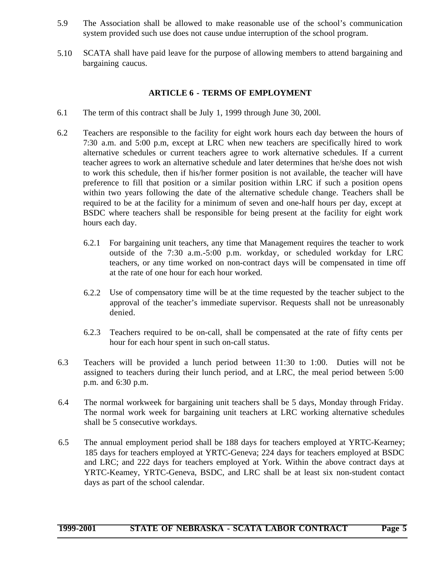- <span id="page-5-0"></span>5.9 The Association shall be allowed to make reasonable use of the school's communication system provided such use does not cause undue interruption of the school program.
- 5.10 SCATA shall have paid leave for the purpose of allowing members to attend bargaining and bargaining caucus.

### **ARTICLE 6 - TERMS OF EMPLOYMENT**

- 6.1 The term of this contract shall be July 1, 1999 through June 30, 200l.
- 6.2 Teachers are responsible to the facility for eight work hours each day between the hours of 7:30 a.m. and 5:00 p.m, except at LRC when new teachers are specifically hired to work alternative schedules or current teachers agree to work alternative schedules. If a current teacher agrees to work an alternative schedule and later determines that he/she does not wish to work this schedule, then if his/her former position is not available, the teacher will have preference to fill that position or a similar position within LRC if such a position opens within two years following the date of the alternative schedule change. Teachers shall be required to be at the facility for a minimum of seven and one-half hours per day, except at BSDC where teachers shall be responsible for being present at the facility for eight work hours each day.
	- 6.2.1 For bargaining unit teachers, any time that Management requires the teacher to work outside of the 7:30 a.m.-5:00 p.m. workday, or scheduled workday for LRC teachers, or any time worked on non-contract days will be compensated in time off at the rate of one hour for each hour worked.
	- 6.2.2 Use of compensatory time will be at the time requested by the teacher subject to the approval of the teacher's immediate supervisor. Requests shall not be unreasonably denied.
	- 6.2.3 Teachers required to be on-call, shall be compensated at the rate of fifty cents per hour for each hour spent in such on-call status.
- 6.3 Teachers will be provided a lunch period between 11:30 to 1:00. Duties will not be assigned to teachers during their lunch period, and at LRC, the meal period between 5:00 p.m. and 6:30 p.m.
- 6.4 The normal workweek for bargaining unit teachers shall be 5 days, Monday through Friday. The normal work week for bargaining unit teachers at LRC working alternative schedules shall be 5 consecutive workdays.
- 6.5 The annual employment period shall be 188 days for teachers employed at YRTC-Kearney; 185 days for teachers employed at YRTC-Geneva; 224 days for teachers employed at BSDC and LRC; and 222 days for teachers employed at York. Within the above contract days at YRTC-Keamey, YRTC-Geneva, BSDC, and LRC shall be at least six non-student contact days as part of the school calendar.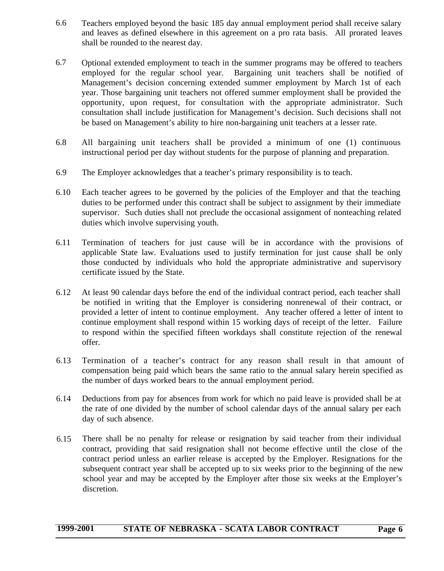- 6.6 Teachers employed beyond the basic 185 day annual employment period shall receive salary and leaves as defined elsewhere in this agreement on a pro rata basis. All prorated leaves shall be rounded to the nearest day.
- 6.7 Optional extended employment to teach in the summer programs may be offered to teachers employed for the regular school year. Bargaining unit teachers shall be notified of Management's decision concerning extended summer employment by March 1st of each year. Those bargaining unit teachers not offered summer employment shall be provided the opportunity, upon request, for consultation with the appropriate administrator. Such consultation shall include justification for Management's decision. Such decisions shall not be based on Management's ability to hire non-bargaining unit teachers at a lesser rate.
- 6.8 All bargaining unit teachers shall be provided a minimum of one (1) continuous instructional period per day without students for the purpose of planning and preparation.
- 6.9 The Employer acknowledges that a teacher's primary responsibility is to teach.
- 6.10 Each teacher agrees to be governed by the policies of the Employer and that the teaching duties to be performed under this contract shall be subject to assignment by their immediate supervisor. Such duties shall not preclude the occasional assignment of nonteaching related duties which involve supervising youth.
- 6.11 Termination of teachers for just cause will be in accordance with the provisions of applicable State law. Evaluations used to justify termination for just cause shall be only those conducted by individuals who hold the appropriate administrative and supervisory certificate issued by the State.
- 6.12 At least 90 calendar days before the end of the individual contract period, each teacher shall be notified in writing that the Employer is considering nonrenewal of their contract, or provided a letter of intent to continue employment. Any teacher offered a letter of intent to continue employment shall respond within 15 working days of receipt of the letter. Failure to respond within the specified fifteen workdays shall constitute rejection of the renewal offer.
- 6.13 Termination of a teacher's contract for any reason shall result in that amount of compensation being paid which bears the same ratio to the annual salary herein specified as the number of days worked bears to the annual employment period.
- 6.14 Deductions from pay for absences from work for which no paid leave is provided shall be at the rate of one divided by the number of school calendar days of the annual salary per each day of such absence.
- 6.15 There shall be no penalty for release or resignation by said teacher from their individual contract, providing that said resignation shall not become effective until the close of the contract period unless an earlier release is accepted by the Employer. Resignations for the subsequent contract year shall be accepted up to six weeks prior to the beginning of the new school year and may be accepted by the Employer after those six weeks at the Employer's discretion.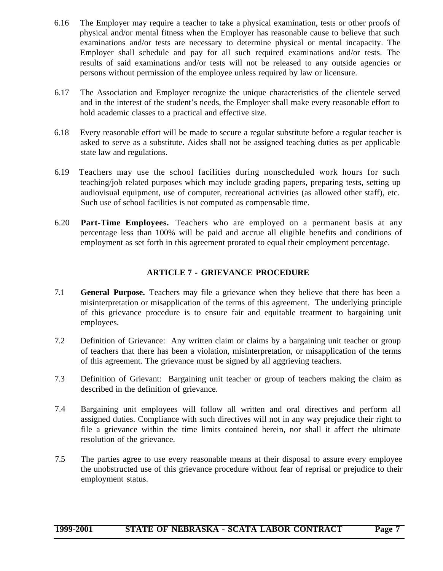- 6.16 The Employer may require a teacher to take a physical examination, tests or other proofs of physical and/or mental fitness when the Employer has reasonable cause to believe that such examinations and/or tests are necessary to determine physical or mental incapacity. The Employer shall schedule and pay for all such required examinations and/or tests. The results of said examinations and/or tests will not be released to any outside agencies or persons without permission of the employee unless required by law or licensure.
- 6.17 The Association and Employer recognize the unique characteristics of the clientele served and in the interest of the student's needs, the Employer shall make every reasonable effort to hold academic classes to a practical and effective size.
- 6.18 Every reasonable effort will be made to secure a regular substitute before a regular teacher is asked to serve as a substitute. Aides shall not be assigned teaching duties as per applicable state law and regulations.
- 6.19 Teachers may use the school facilities during nonscheduled work hours for such teaching/job related purposes which may include grading papers, preparing tests, setting up audiovisual equipment, use of computer, recreational activities (as allowed other staff), etc. Such use of school facilities is not computed as compensable time.
- <span id="page-7-0"></span>6.20 **Part-Time Employees.** Teachers who are employed on a permanent basis at any percentage less than 100% will be paid and accrue all eligible benefits and conditions of employment as set forth in this agreement prorated to equal their employment percentage.

# **ARTICLE 7 - GRIEVANCE PROCEDURE**

- 7.1 **General Purpose.** Teachers may file a grievance when they believe that there has been a misinterpretation or misapplication of the terms of this agreement. The underlying principle of this grievance procedure is to ensure fair and equitable treatment to bargaining unit employees.
- 7.2 Definition of Grievance: Any written claim or claims by a bargaining unit teacher or group of teachers that there has been a violation, misinterpretation, or misapplication of the terms of this agreement. The grievance must be signed by all aggrieving teachers.
- 7.3 Definition of Grievant: Bargaining unit teacher or group of teachers making the claim as described in the definition of grievance.
- 7.4 Bargaining unit employees will follow all written and oral directives and perform all assigned duties. Compliance with such directives will not in any way prejudice their right to file a grievance within the time limits contained herein, nor shall it affect the ultimate resolution of the grievance.
- 7.5 The parties agree to use every reasonable means at their disposal to assure every employee the unobstructed use of this grievance procedure without fear of reprisal or prejudice to their employment status.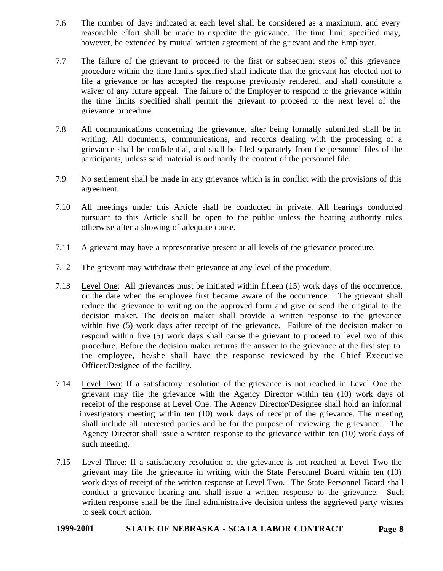- 7.6 The number of days indicated at each level shall be considered as a maximum, and every reasonable effort shall be made to expedite the grievance. The time limit specified may, however, be extended by mutual written agreement of the grievant and the Employer.
- 7.7 The failure of the grievant to proceed to the first or subsequent steps of this grievance procedure within the time limits specified shall indicate that the grievant has elected not to file a grievance or has accepted the response previously rendered, and shall constitute a waiver of any future appeal. The failure of the Employer to respond to the grievance within the time limits specified shall permit the grievant to proceed to the next level of the grievance procedure.
- 7.8 All communications concerning the grievance, after being formally submitted shall be in writing. All documents, communications, and records dealing with the processing of a grievance shall be confidential, and shall be filed separately from the personnel files of the participants, unless said material is ordinarily the content of the personnel file.
- 7.9 No settlement shall be made in any grievance which is in conflict with the provisions of this agreement.
- 7.10 All meetings under this Article shall be conducted in private. All hearings conducted pursuant to this Article shall be open to the public unless the hearing authority rules otherwise after a showing of adequate cause.
- 7.11 A grievant may have a representative present at all levels of the grievance procedure.
- 7.12 The grievant may withdraw their grievance at any level of the procedure.
- 7.13 Level One: All grievances must be initiated within fifteen (15) work days of the occurrence, or the date when the employee first became aware of the occurrence. The grievant shall reduce the grievance to writing on the approved form and give or send the original to the decision maker. The decision maker shall provide a written response to the grievance within five (5) work days after receipt of the grievance. Failure of the decision maker to respond within five (5) work days shall cause the grievant to proceed to level two of this procedure. Before the decision maker returns the answer to the grievance at the first step to the employee, he/she shall have the response reviewed by the Chief Executive Officer/Designee of the facility.
- 7.14 Level Two: If a satisfactory resolution of the grievance is not reached in Level One the grievant may file the grievance with the Agency Director within ten (10) work days of receipt of the response at Level One. The Agency Director/Designee shall hold an informal investigatory meeting within ten (10) work days of receipt of the grievance. The meeting shall include all interested parties and be for the purpose of reviewing the grievance. The Agency Director shall issue a written response to the grievance within ten (10) work days of such meeting.
- 7.15 Level Three: If a satisfactory resolution of the grievance is not reached at Level Two the grievant may file the grievance in writing with the State Personnel Board within ten (10) work days of receipt of the written response at Level Two. The State Personnel Board shall conduct a grievance hearing and shall issue a written response to the grievance. Such written response shall be the final administrative decision unless the aggrieved party wishes to seek court action.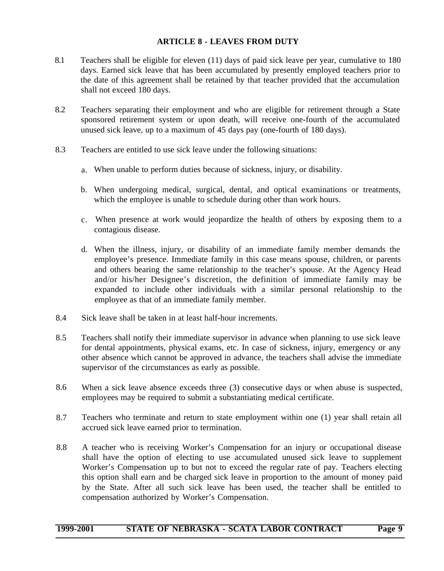### **ARTICLE 8 - LEAVES FROM DUTY**

- <span id="page-9-0"></span>8.1 Teachers shall be eligible for eleven (11) days of paid sick leave per year, cumulative to 180 days. Earned sick leave that has been accumulated by presently employed teachers prior to the date of this agreement shall be retained by that teacher provided that the accumulation shall not exceed 180 days.
- 8.2 Teachers separating their employment and who are eligible for retirement through a State sponsored retirement system or upon death, will receive one-fourth of the accumulated unused sick leave, up to a maximum of 45 days pay (one-fourth of 180 days).
- 8.3 Teachers are entitled to use sick leave under the following situations:
	- a. When unable to perform duties because of sickness, injury, or disability.
	- b. When undergoing medical, surgical, dental, and optical examinations or treatments, which the employee is unable to schedule during other than work hours.
	- c. When presence at work would jeopardize the health of others by exposing them to a contagious disease.
	- d. When the illness, injury, or disability of an immediate family member demands the employee's presence. Immediate family in this case means spouse, children, or parents and others bearing the same relationship to the teacher's spouse. At the Agency Head and/or his/her Designee's discretion, the definition of immediate family may be expanded to include other individuals with a similar personal relationship to the employee as that of an immediate family member.
- 8.4 Sick leave shall be taken in at least half-hour increments.
- 8.5 Teachers shall notify their immediate supervisor in advance when planning to use sick leave for dental appointments, physical exams, etc. In case of sickness, injury, emergency or any other absence which cannot be approved in advance, the teachers shall advise the immediate supervisor of the circumstances as early as possible.
- 8.6 When a sick leave absence exceeds three (3) consecutive days or when abuse is suspected, employees may be required to submit a substantiating medical certificate.
- 8.7 Teachers who terminate and return to state employment within one (1) year shall retain all accrued sick leave earned prior to termination.
- 8.8 A teacher who is receiving Worker's Compensation for an injury or occupational disease shall have the option of electing to use accumulated unused sick leave to supplement Worker's Compensation up to but not to exceed the regular rate of pay. Teachers electing this option shall earn and be charged sick leave in proportion to the amount of money paid by the State. After all such sick leave has been used, the teacher shall be entitled to compensation authorized by Worker's Compensation.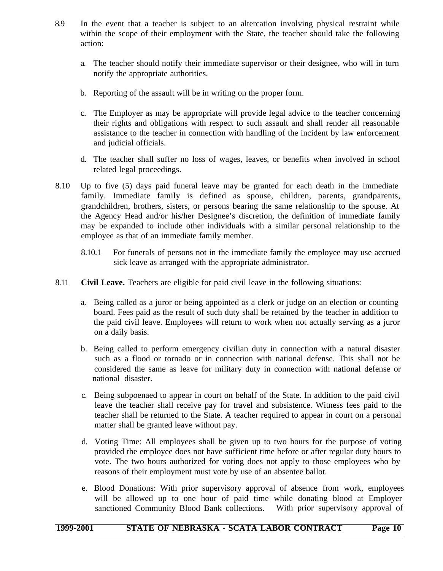- 8.9 In the event that a teacher is subject to an altercation involving physical restraint while within the scope of their employment with the State, the teacher should take the following action:
	- a. The teacher should notify their immediate supervisor or their designee, who will in turn notify the appropriate authorities.
	- b. Reporting of the assault will be in writing on the proper form.
	- c. The Employer as may be appropriate will provide legal advice to the teacher concerning their rights and obligations with respect to such assault and shall render all reasonable assistance to the teacher in connection with handling of the incident by law enforcement and judicial officials.
	- d. The teacher shall suffer no loss of wages, leaves, or benefits when involved in school related legal proceedings.
- 8.10 Up to five (5) days paid funeral leave may be granted for each death in the immediate family. Immediate family is defined as spouse, children, parents, grandparents, grandchildren, brothers, sisters, or persons bearing the same relationship to the spouse. At the Agency Head and/or his/her Designee's discretion, the definition of immediate family may be expanded to include other individuals with a similar personal relationship to the employee as that of an immediate family member.
	- 8.10.1 For funerals of persons not in the immediate family the employee may use accrued sick leave as arranged with the appropriate administrator.
- 8.11 **Civil Leave.** Teachers are eligible for paid civil leave in the following situations:
	- a. Being called as a juror or being appointed as a clerk or judge on an election or counting board. Fees paid as the result of such duty shall be retained by the teacher in addition to the paid civil leave. Employees will return to work when not actually serving as a juror on a daily basis.
	- b. Being called to perform emergency civilian duty in connection with a natural disaster such as a flood or tornado or in connection with national defense. This shall not be considered the same as leave for military duty in connection with national defense or national disaster.
	- c. Being subpoenaed to appear in court on behalf of the State. In addition to the paid civil leave the teacher shall receive pay for travel and subsistence. Witness fees paid to the teacher shall be returned to the State. A teacher required to appear in court on a personal matter shall be granted leave without pay.
	- d. Voting Time: All employees shall be given up to two hours for the purpose of voting provided the employee does not have sufficient time before or after regular duty hours to vote. The two hours authorized for voting does not apply to those employees who by reasons of their employment must vote by use of an absentee ballot.
	- e. Blood Donations: With prior supervisory approval of absence from work, employees will be allowed up to one hour of paid time while donating blood at Employer sanctioned Community Blood Bank collections. With prior supervisory approval of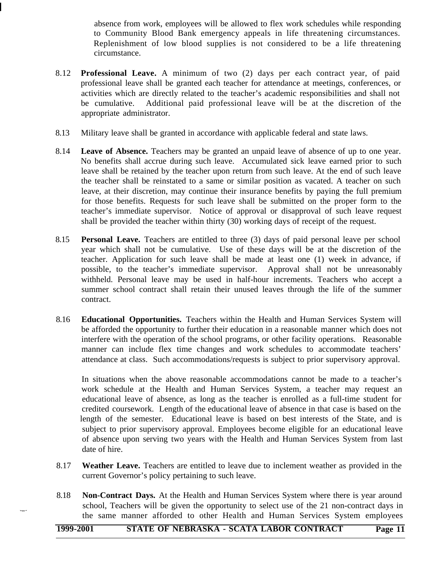absence from work, employees will be allowed to flex work schedules while responding to Community Blood Bank emergency appeals in life threatening circumstances. Replenishment of low blood supplies is not considered to be a life threatening circumstance.

- 8.12 **Professional Leave.** A minimum of two (2) days per each contract year, of paid professional leave shall be granted each teacher for attendance at meetings, conferences, or activities which are directly related to the teacher's academic responsibilities and shall not be cumulative. Additional paid professional leave will be at the discretion of the appropriate administrator.
- 8.13 Military leave shall be granted in accordance with applicable federal and state laws.
- 8.14 **Leave of Absence.** Teachers may be granted an unpaid leave of absence of up to one year. No benefits shall accrue during such leave. Accumulated sick leave earned prior to such leave shall be retained by the teacher upon return from such leave. At the end of such leave the teacher shall be reinstated to a same or similar position as vacated. A teacher on such leave, at their discretion, may continue their insurance benefits by paying the full premium for those benefits. Requests for such leave shall be submitted on the proper form to the teacher's immediate supervisor. Notice of approval or disapproval of such leave request shall be provided the teacher within thirty (30) working days of receipt of the request.
- 8.15 **Personal Leave.** Teachers are entitled to three (3) days of paid personal leave per school year which shall not be cumulative. Use of these days will be at the discretion of the teacher. Application for such leave shall be made at least one (1) week in advance, if possible, to the teacher's immediate supervisor. Approval shall not be unreasonably withheld. Personal leave may be used in half-hour increments. Teachers who accept a summer school contract shall retain their unused leaves through the life of the summer contract.
- 8.16 **Educational Opportunities.** Teachers within the Health and Human Services System will be afforded the opportunity to further their education in a reasonable manner which does not interfere with the operation of the school programs, or other facility operations. Reasonable manner can include flex time changes and work schedules to accommodate teachers' attendance at class. Such accommodations/requests is subject to prior supervisory approval.

In situations when the above reasonable accommodations cannot be made to a teacher's work schedule at the Health and Human Services System, a teacher may request an educational leave of absence, as long as the teacher is enrolled as a full-time student for credited coursework. Length of the educational leave of absence in that case is based on the length of the semester. Educational leave is based on best interests of the State, and is subject to prior supervisory approval. Employees become eligible for an educational leave of absence upon serving two years with the Health and Human Services System from last date of hire.

- 8.17 **Weather Leave.** Teachers are entitled to leave due to inclement weather as provided in the current Governor's policy pertaining to such leave.
- 8.18 **Non-Contract Days.** At the Health and Human Services System where there is year around school, Teachers will be given the opportunity to select use of the 21 non-contract days in the same manner afforded to other Health and Human Services System employees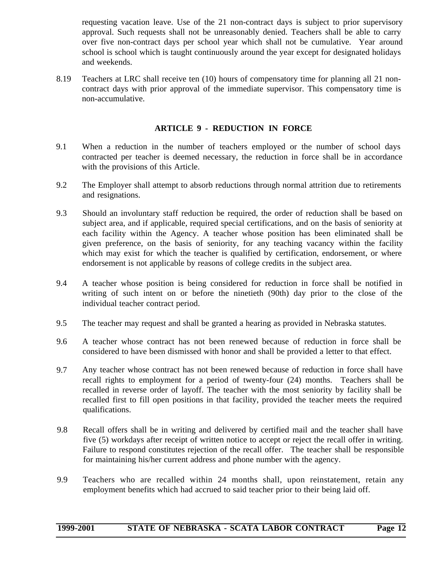requesting vacation leave. Use of the 21 non-contract days is subject to prior supervisory approval. Such requests shall not be unreasonably denied. Teachers shall be able to carry over five non-contract days per school year which shall not be cumulative. Year around school is school which is taught continuously around the year except for designated holidays and weekends.

<span id="page-12-0"></span>8.19 Teachers at LRC shall receive ten (10) hours of compensatory time for planning all 21 noncontract days with prior approval of the immediate supervisor. This compensatory time is non-accumulative.

#### **ARTICLE 9 - REDUCTION IN FORCE**

- 9.1 When a reduction in the number of teachers employed or the number of school days contracted per teacher is deemed necessary, the reduction in force shall be in accordance with the provisions of this Article.
- 9.2 The Employer shall attempt to absorb reductions through normal attrition due to retirements and resignations.
- 9.3 Should an involuntary staff reduction be required, the order of reduction shall be based on subject area, and if applicable, required special certifications, and on the basis of seniority at each facility within the Agency. A teacher whose position has been eliminated shall be given preference, on the basis of seniority, for any teaching vacancy within the facility which may exist for which the teacher is qualified by certification, endorsement, or where endorsement is not applicable by reasons of college credits in the subject area.
- 9.4 A teacher whose position is being considered for reduction in force shall be notified in writing of such intent on or before the ninetieth (90th) day prior to the close of the individual teacher contract period.
- 9.5 The teacher may request and shall be granted a hearing as provided in Nebraska statutes.
- 9.6 A teacher whose contract has not been renewed because of reduction in force shall be considered to have been dismissed with honor and shall be provided a letter to that effect.
- 9.7 Any teacher whose contract has not been renewed because of reduction in force shall have recall rights to employment for a period of twenty-four (24) months. Teachers shall be recalled in reverse order of layoff. The teacher with the most seniority by facility shall be recalled first to fill open positions in that facility, provided the teacher meets the required qualifications.
- 9.8 Recall offers shall be in writing and delivered by certified mail and the teacher shall have five (5) workdays after receipt of written notice to accept or reject the recall offer in writing. Failure to respond constitutes rejection of the recall offer. The teacher shall be responsible for maintaining his/her current address and phone number with the agency.
- 9.9 Teachers who are recalled within 24 months shall, upon reinstatement, retain any employment benefits which had accrued to said teacher prior to their being laid off.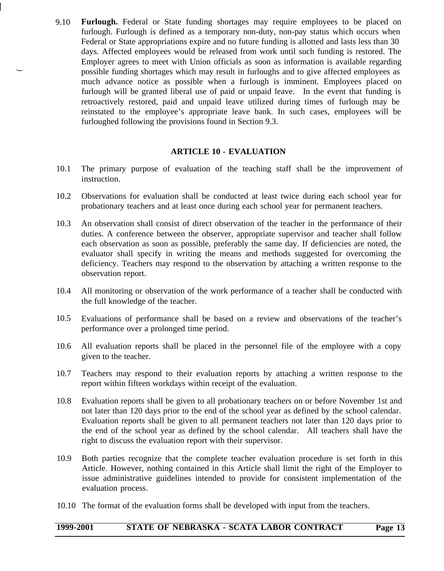<span id="page-13-0"></span>9.10 **Furlough.** Federal or State funding shortages may require employees to be placed on furlough. Furlough is defined as a temporary non-duty, non-pay status which occurs when Federal or State appropriations expire and no future funding is allotted and lasts less than 30 days. Affected employees would be released from work until such funding is restored. The Employer agrees to meet with Union officials as soon as information is available regarding possible funding shortages which may result in furloughs and to give affected employees as much advance notice as possible when a furlough is imminent. Employees placed on furlough will be granted liberal use of paid or unpaid leave. In the event that funding is retroactively restored, paid and unpaid leave utilized during times of furlough may be reinstated to the employee's appropriate leave bank. In such cases, employees will be furloughed following the provisions found in Section 9.3.

#### **ARTICLE 10 - EVALUATION**

- 10.1 The primary purpose of evaluation of the teaching staff shall be the improvement of instruction.
- 10.2 Observations for evaluation shall be conducted at least twice during each school year for probationary teachers and at least once during each school year for permanent teachers.
- 10.3 An observation shall consist of direct observation of the teacher in the performance of their duties. A conference between the observer, appropriate supervisor and teacher shall follow each observation as soon as possible, preferably the same day. If deficiencies are noted, the evaluator shall specify in writing the means and methods suggested for overcoming the deficiency. Teachers may respond to the observation by attaching a written response to the observation report.
- 10.4 All monitoring or observation of the work performance of a teacher shall be conducted with the full knowledge of the teacher.
- 10.5 Evaluations of performance shall be based on a review and observations of the teacher's performance over a prolonged time period.
- 10.6 All evaluation reports shall be placed in the personnel file of the employee with a copy given to the teacher.
- 10.7 Teachers may respond to their evaluation reports by attaching a written response to the report within fifteen workdays within receipt of the evaluation.
- 10.8 Evaluation reports shall be given to all probationary teachers on or before November 1st and not later than 120 days prior to the end of the school year as defined by the school calendar. Evaluation reports shall be given to all permanent teachers not later than 120 days prior to the end of the school year as defined by the school calendar. All teachers shall have the right to discuss the evaluation report with their supervisor.
- 10.9 Both parties recognize that the complete teacher evaluation procedure is set forth in this Article. However, nothing contained in this Article shall limit the right of the Employer to issue administrative guidelines intended to provide for consistent implementation of the evaluation process.
- 10.10 The format of the evaluation forms shall be developed with input from the teachers.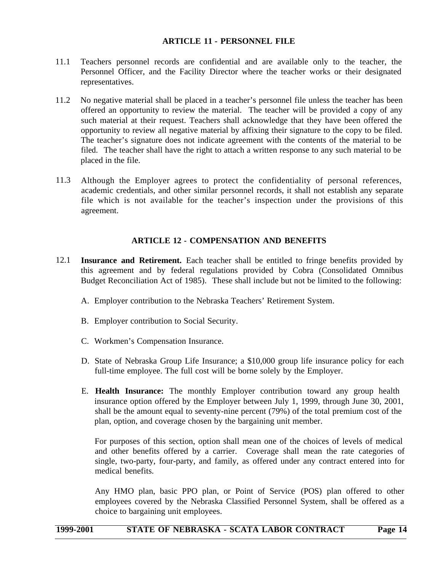#### **ARTICLE 11 - PERSONNEL FILE**

- <span id="page-14-0"></span>11.1 Teachers personnel records are confidential and are available only to the teacher, the Personnel Officer, and the Facility Director where the teacher works or their designated representatives.
- 11.2 No negative material shall be placed in a teacher's personnel file unless the teacher has been offered an opportunity to review the material. The teacher will be provided a copy of any such material at their request. Teachers shall acknowledge that they have been offered the opportunity to review all negative material by affixing their signature to the copy to be filed. The teacher's signature does not indicate agreement with the contents of the material to be filed. The teacher shall have the right to attach a written response to any such material to be placed in the file.
- <span id="page-14-1"></span>11.3 Although the Employer agrees to protect the confidentiality of personal references, academic credentials, and other similar personnel records, it shall not establish any separate file which is not available for the teacher's inspection under the provisions of this agreement.

#### **ARTICLE 12 - COMPENSATION AND BENEFITS**

- 12.1 **Insurance and Retirement.** Each teacher shall be entitled to fringe benefits provided by this agreement and by federal regulations provided by Cobra (Consolidated Omnibus Budget Reconciliation Act of 1985). These shall include but not be limited to the following:
	- A. Employer contribution to the Nebraska Teachers' Retirement System.
	- B. Employer contribution to Social Security.
	- C. Workmen's Compensation Insurance.
	- D. State of Nebraska Group Life Insurance; a \$10,000 group life insurance policy for each full-time employee. The full cost will be borne solely by the Employer.
	- E. **Health Insurance:** The monthly Employer contribution toward any group health insurance option offered by the Employer between July 1, 1999, through June 30, 2001, shall be the amount equal to seventy-nine percent (79%) of the total premium cost of the plan, option, and coverage chosen by the bargaining unit member.

For purposes of this section, option shall mean one of the choices of levels of medical and other benefits offered by a carrier. Coverage shall mean the rate categories of single, two-party, four-party, and family, as offered under any contract entered into for medical benefits.

Any HMO plan, basic PPO plan, or Point of Service (POS) plan offered to other employees covered by the Nebraska Classified Personnel System, shall be offered as a choice to bargaining unit employees.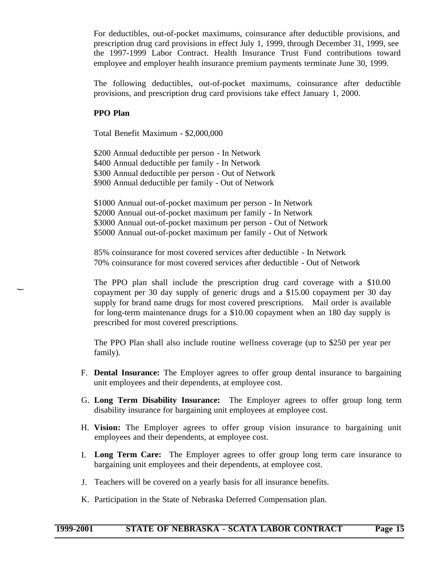For deductibles, out-of-pocket maximums, coinsurance after deductible provisions, and prescription drug card provisions in effect July 1, 1999, through December 31, 1999, see the 1997-1999 Labor Contract. Health Insurance Trust Fund contributions toward employee and employer health insurance premium payments terminate June 30, 1999.

The following deductibles, out-of-pocket maximums, coinsurance after deductible provisions, and prescription drug card provisions take effect January 1, 2000.

#### **PPO Plan**

Total Benefit Maximum - \$2,000,000

\$200 Annual deductible per person - In Network \$400 Annual deductible per family - In Network \$300 Annual deductible per person - Out of Network \$900 Annual deductible per family - Out of Network

\$1000 Annual out-of-pocket maximum per person - In Network \$2000 Annual out-of-pocket maximum per family - In Network \$3000 Annual out-of-pocket maximum per person - Out of Network \$5000 Annual out-of-pocket maximum per family - Out of Network

85% coinsurance for most covered services after deductible - In Network 70% coinsurance for most covered services after deductible - Out of Network

The PPO plan shall include the prescription drug card coverage with a \$10.00 copayment per 30 day supply of generic drugs and a \$15.00 copayment per 30 day supply for brand name drugs for most covered prescriptions. Mail order is available for long-term maintenance drugs for a \$10.00 copayment when an 180 day supply is prescribed for most covered prescriptions.

The PPO Plan shall also include routine wellness coverage (up to \$250 per year per family).

- F. **Dental Insurance:** The Employer agrees to offer group dental insurance to bargaining unit employees and their dependents, at employee cost.
- G. **Long Term Disability Insurance:** The Employer agrees to offer group long term disability insurance for bargaining unit employees at employee cost.
- H. **Vision:** The Employer agrees to offer group vision insurance to bargaining unit employees and their dependents, at employee cost.
- I. **Long Term Care:** The Employer agrees to offer group long term care insurance to bargaining unit employees and their dependents, at employee cost.
- J. Teachers will be covered on a yearly basis for all insurance benefits.
- K. Participation in the State of Nebraska Deferred Compensation plan.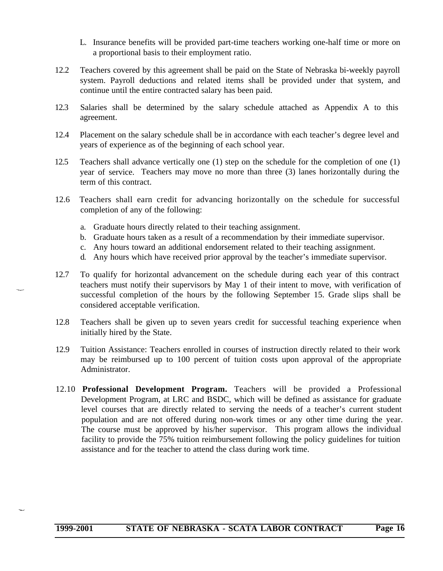- L. Insurance benefits will be provided part-time teachers working one-half time or more on a proportional basis to their employment ratio.
- 12.2 Teachers covered by this agreement shall be paid on the State of Nebraska bi-weekly payroll system. Payroll deductions and related items shall be provided under that system, and continue until the entire contracted salary has been paid.
- 12.3 Salaries shall be determined by the salary schedule attached as Appendix A to this agreement.
- 12.4 Placement on the salary schedule shall be in accordance with each teacher's degree level and years of experience as of the beginning of each school year.
- 12.5 Teachers shall advance vertically one (1) step on the schedule for the completion of one (1) year of service. Teachers may move no more than three (3) lanes horizontally during the term of this contract.
- 12.6 Teachers shall earn credit for advancing horizontally on the schedule for successful completion of any of the following:
	- a. Graduate hours directly related to their teaching assignment.
	- b. Graduate hours taken as a result of a recommendation by their immediate supervisor.
	- c. Any hours toward an additional endorsement related to their teaching assignment.
	- d. Any hours which have received prior approval by the teacher's immediate supervisor.
- 12.7 To qualify for horizontal advancement on the schedule during each year of this contract teachers must notify their supervisors by May 1 of their intent to move, with verification of successful completion of the hours by the following September 15. Grade slips shall be considered acceptable verification.
- 12.8 Teachers shall be given up to seven years credit for successful teaching experience when initially hired by the State.
- 12.9 Tuition Assistance: Teachers enrolled in courses of instruction directly related to their work may be reimbursed up to 100 percent of tuition costs upon approval of the appropriate Administrator.
- 12.10 **Professional Development Program.** Teachers will be provided a Professional Development Program, at LRC and BSDC, which will be defined as assistance for graduate level courses that are directly related to serving the needs of a teacher's current student population and are not offered during non-work times or any other time during the year. The course must be approved by his/her supervisor. This program allows the individual facility to provide the 75% tuition reimbursement following the policy guidelines for tuition assistance and for the teacher to attend the class during work time.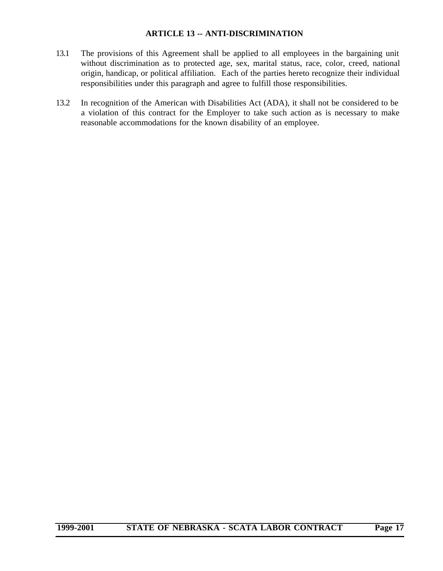#### **ARTICLE 13 -- ANTI-DISCRIMINATION**

- <span id="page-17-0"></span>13.1 The provisions of this Agreement shall be applied to all employees in the bargaining unit without discrimination as to protected age, sex, marital status, race, color, creed, national origin, handicap, or political affiliation. Each of the parties hereto recognize their individual responsibilities under this paragraph and agree to fulfill those responsibilities.
- 13.2 In recognition of the American with Disabilities Act (ADA), it shall not be considered to be a violation of this contract for the Employer to take such action as is necessary to make reasonable accommodations for the known disability of an employee.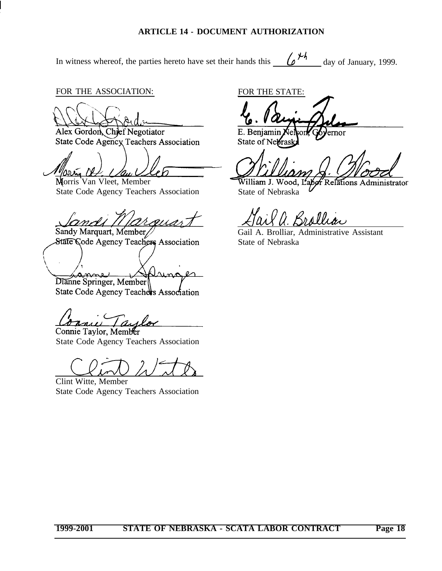#### **ARTICLE 14 - DOCUMENT AUTHORIZATION**

<span id="page-18-0"></span>In witness whereof, the parties hereto have set their hands this  $\theta^{\mathcal{H}}$  day of January, 1999.

FOR THE ASSOCIATION:

Alex Gordon, Chief Negotiator State Code Agency Teachers Association

Morris Van Vleet, Member Morris Van Vleet, Member<br>State Code Agency Teachers Association State of Nebraska

momar Sandy Marquart, Member

State Code Agency Teachers Association

en Dianne Springer, Member State Code Agency Teachers Association

Connie Taylor, Member

State Code Agency Teachers Association

Clint Witte, Member State Code Agency Teachers Association

FOR THE STATE:

E. Benjamin ernor State of Nebrasl

f Relations Administrator

Brollia

Gail A. Brolliar, Administrative Assistant State of Nebraska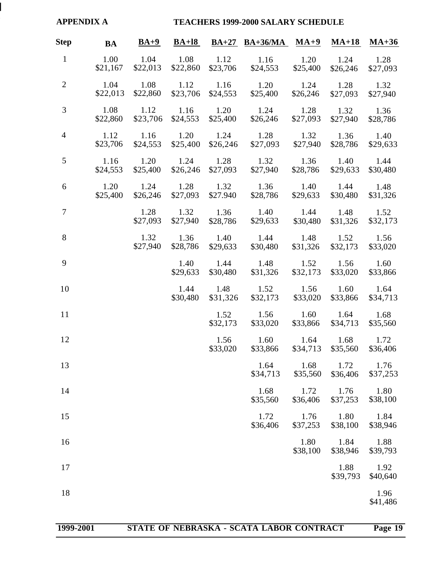<span id="page-19-0"></span>

| <b>APPENDIX A</b> |                  | <b>TEACHERS 1999-2000 SALARY SCHEDULE</b> |                                |                  |                                      |                  |                       |                  |
|-------------------|------------------|-------------------------------------------|--------------------------------|------------------|--------------------------------------|------------------|-----------------------|------------------|
| <b>Step</b>       | <b>BA</b>        | $BA+9$                                    | $BA+18$                        |                  | $BA+27 BA+36/MA MA+9$                |                  | $MA+18$               | $MA+36$          |
| $\mathbf{1}$      | 1.00<br>\$21,167 | 1.04<br>\$22,013                          | 1.08<br>\$22,860               | 1.12<br>\$23,706 | 1.16<br>\$24,553                     | 1.20<br>\$25,400 | 1.24<br>\$26,246      | 1.28<br>\$27,093 |
| $\overline{2}$    | 1.04<br>\$22,013 | 1.08<br>\$22,860                          | $1.12 \qquad 1.16$<br>\$23,706 | \$24,553         | 1.20<br>\$25,400                     | 1.24<br>\$26,246 | 1.28<br>\$27,093      | 1.32<br>\$27,940 |
| $\mathfrak{Z}$    | 1.08<br>\$22,860 | 1.12<br>\$23,706                          | $1.16$ $1.20$<br>\$24,553      | \$25,400         | 1.24<br>\$26,246                     | 1.28<br>\$27,093 | 1.32<br>\$27,940      | 1.36<br>\$28,786 |
| $\overline{4}$    | 1.12<br>\$23,706 | 1.16<br>\$24,553                          | 1.20<br>\$25,400               | 1.24<br>\$26,246 | 1.28<br>\$27,093                     | 1.32<br>\$27,940 | 1.36<br>\$28,786      | 1.40<br>\$29,633 |
| 5                 | 1.16<br>\$24,553 | 1.20<br>\$25,400                          | 1.24<br>\$26,246               | 1.28<br>\$27,093 | 1.32<br>\$27,940                     | 1.36<br>\$28,786 | 1.40<br>\$29,633      | 1.44<br>\$30,480 |
| 6                 | 1.20<br>\$25,400 | 1.24 1.28<br>\$26,246                     | \$27,093                       | 1.32<br>\$27.940 | 1.36<br>\$28,786                     | 1.40<br>\$29,633 | 1.44<br>\$30,480      | 1.48<br>\$31,326 |
| $\tau$            |                  | 1.28<br>\$27,093                          | 1.32 1.36<br>\$27,940          | \$28,786         | 1.40<br>\$29,633                     | 1.44<br>\$30,480 | 1.48<br>\$31,326      | 1.52<br>\$32,173 |
| 8                 |                  | 1.32<br>\$27,940                          | \$28,786                       | \$29,633         | 1.36 1.40 1.44 1.48 1.52<br>\$30,480 | \$31,326         | \$32,173              | 1.56<br>\$33,020 |
| 9                 |                  |                                           | 1.40<br>\$29,633               | 1.44<br>\$30,480 | 1.48<br>\$31,326                     | \$32,173         | 1.52 1.56<br>\$33,020 | 1.60<br>\$33,866 |
| 10                |                  |                                           | 1.44<br>\$30,480               | \$31,326         | 1.48 1.52<br>\$32,173                | \$33,020         | 1.56 1.60<br>\$33,866 | 1.64<br>\$34,713 |
| 11                |                  |                                           |                                | 1.52<br>\$32,173 | 1.56<br>\$33,020                     | \$33,866         | 1.60 1.64<br>\$34,713 | 1.68<br>\$35,560 |
| 12                |                  |                                           |                                | \$33,020         | 1.56 1.60 1.64 1.68 1.72<br>\$33,866 | \$34,713         | \$35,560              | \$36,406         |
| 13                |                  |                                           |                                |                  | 1.64<br>\$34,713                     | 1.68<br>\$35,560 | 1.72<br>\$36,406      | 1.76<br>\$37,253 |
| 14                |                  |                                           |                                |                  | 1.68<br>\$35,560                     | 1.72<br>\$36,406 | 1.76<br>\$37,253      | 1.80<br>\$38,100 |
| 15                |                  |                                           |                                |                  | 1.72<br>\$36,406                     | 1.76<br>\$37,253 | 1.80<br>\$38,100      | 1.84<br>\$38,946 |
| 16                |                  |                                           |                                |                  |                                      | 1.80<br>\$38,100 | 1.84<br>\$38,946      | 1.88<br>\$39,793 |
| 17                |                  |                                           |                                |                  |                                      |                  | 1.88<br>\$39,793      | 1.92<br>\$40,640 |
| 18                |                  |                                           |                                |                  |                                      |                  |                       | 1.96<br>\$41,486 |
|                   |                  |                                           |                                |                  |                                      |                  |                       |                  |

# **1999-2001 STATE OF NEBRASKA - SCATA LABOR CONTRACT Page 19**